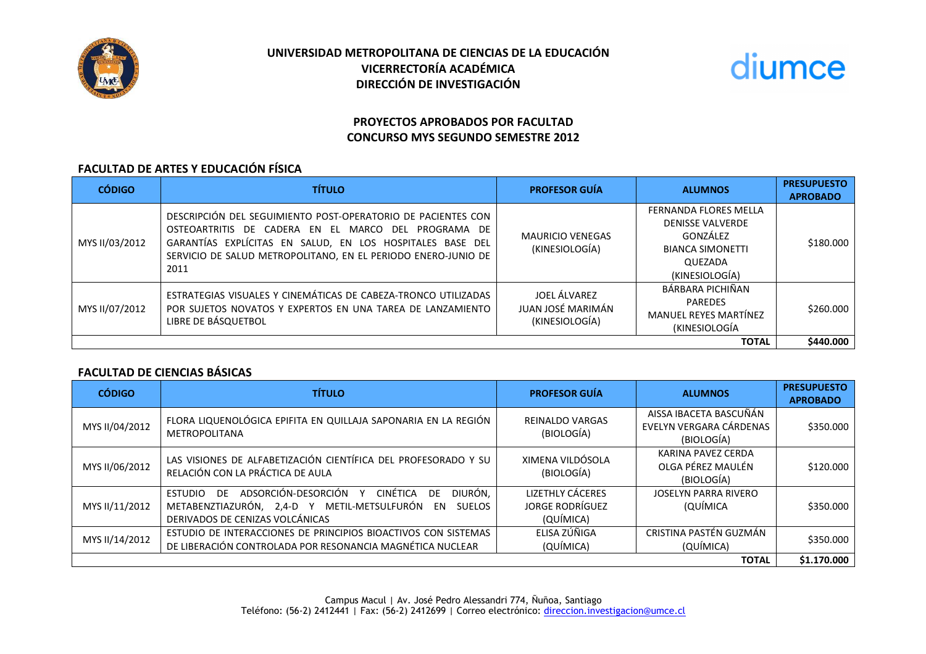

# **UNIVERSIDAD METROPOLITANA DE CIENCIAS DE LA EDUCACIÓN VICERRECTORÍA ACADÉMICA DIRECCIÓN DE INVESTIGACIÓN**



# **PROYECTOS APROBADOS POR FACULTAD CONCURSO MYS SEGUNDO SEMESTRE 2012**

#### **FACULTAD DE ARTES Y EDUCACIÓN FÍSICA**

| <b>CÓDIGO</b>  | <b>TÍTULO</b>                                                                                                                                                                                                                                             | <b>PROFESOR GUÍA</b>                                | <b>ALUMNOS</b>                                                                                                              | <b>PRESUPUESTO</b><br><b>APROBADO</b> |
|----------------|-----------------------------------------------------------------------------------------------------------------------------------------------------------------------------------------------------------------------------------------------------------|-----------------------------------------------------|-----------------------------------------------------------------------------------------------------------------------------|---------------------------------------|
| MYS II/03/2012 | DESCRIPCIÓN DEL SEGUIMIENTO POST-OPERATORIO DE PACIENTES CON<br>OSTEOARTRITIS DE CADERA EN EL MARCO DEL PROGRAMA DE<br>GARANTÍAS EXPLÍCITAS EN SALUD, EN LOS HOSPITALES BASE DEL<br>SERVICIO DE SALUD METROPOLITANO, EN EL PERIODO ENERO-JUNIO DE<br>2011 | <b>MAURICIO VENEGAS</b><br>(KINESIOLOGÍA)           | <b>FERNANDA FLORES MELLA</b><br><b>DENISSE VALVERDE</b><br>GONZÁLEZ<br><b>BIANCA SIMONETTI</b><br>QUEZADA<br>(KINESIOLOGÍA) | \$180.000                             |
| MYS II/07/2012 | ESTRATEGIAS VISUALES Y CINEMÁTICAS DE CABEZA-TRONCO UTILIZADAS<br>POR SUJETOS NOVATOS Y EXPERTOS EN UNA TAREA DE LANZAMIENTO<br>LIBRE DE BÁSQUETBOL                                                                                                       | JOEL ÁLVAREZ<br>JUAN JOSÉ MARIMÁN<br>(KINESIOLOGÍA) | BÁRBARA PICHIÑAN<br><b>PAREDES</b><br><b>MANUEL REYES MARTÍNEZ</b><br>(KINESIOLOGÍA                                         | \$260,000                             |
| <b>TOTAL</b>   |                                                                                                                                                                                                                                                           |                                                     |                                                                                                                             | \$440.000                             |

### **FACULTAD DE CIENCIAS BÁSICAS**

| <b>CÓDIGO</b>  | <b>TÍTULO</b>                                                                                                                                                                         | <b>PROFESOR GUÍA</b>                                           | <b>ALUMNOS</b>                                                  | <b>PRESUPUESTO</b><br><b>APROBADO</b> |
|----------------|---------------------------------------------------------------------------------------------------------------------------------------------------------------------------------------|----------------------------------------------------------------|-----------------------------------------------------------------|---------------------------------------|
| MYS II/04/2012 | FLORA LIQUENOLÓGICA EPIFITA EN QUILLAJA SAPONARIA EN LA REGIÓN<br><b>METROPOLITANA</b>                                                                                                | <b>REINALDO VARGAS</b><br>(BIOLOGÍA)                           | AISSA IBACETA BASCUÑÁN<br>EVELYN VERGARA CÁRDENAS<br>(BIOLOGÍA) | \$350.000                             |
| MYS II/06/2012 | LAS VISIONES DE ALFABETIZACIÓN CIENTÍFICA DEL PROFESORADO Y SU<br>RELACIÓN CON LA PRÁCTICA DE AULA                                                                                    | XIMENA VILDÓSOLA<br>(BIOLOGÍA)                                 | KARINA PAVEZ CERDA<br>OLGA PÉREZ MAULÉN<br>(BIOLOGÍA)           | \$120.000                             |
| MYS II/11/2012 | DIURÓN,<br>ADSORCIÓN-DESORCIÓN Y<br>CINÉTICA<br>DE<br><b>ESTUDIO</b><br>DF.<br>METABENZTIAZURÓN, 2,4-D Y METIL-METSULFURÓN<br><b>SUELOS</b><br>EN.<br>DERIVADOS DE CENIZAS VOLCÁNICAS | <b>LIZETHLY CÁCERES</b><br><b>JORGE RODRÍGUEZ</b><br>(QUÍMICA) | <b>JOSELYN PARRA RIVERO</b><br>(QUÍMICA                         | \$350.000                             |
| MYS II/14/2012 | ESTUDIO DE INTERACCIONES DE PRINCIPIOS BIOACTIVOS CON SISTEMAS<br>DE LIBERACIÓN CONTROLADA POR RESONANCIA MAGNÉTICA NUCLEAR                                                           | ELISA ZÚÑIGA<br>(QUÍMICA)                                      | CRISTINA PASTÉN GUZMÁN<br>(QUÍMICA)                             | \$350.000                             |
| <b>TOTAL</b>   |                                                                                                                                                                                       |                                                                |                                                                 | \$1.170.000                           |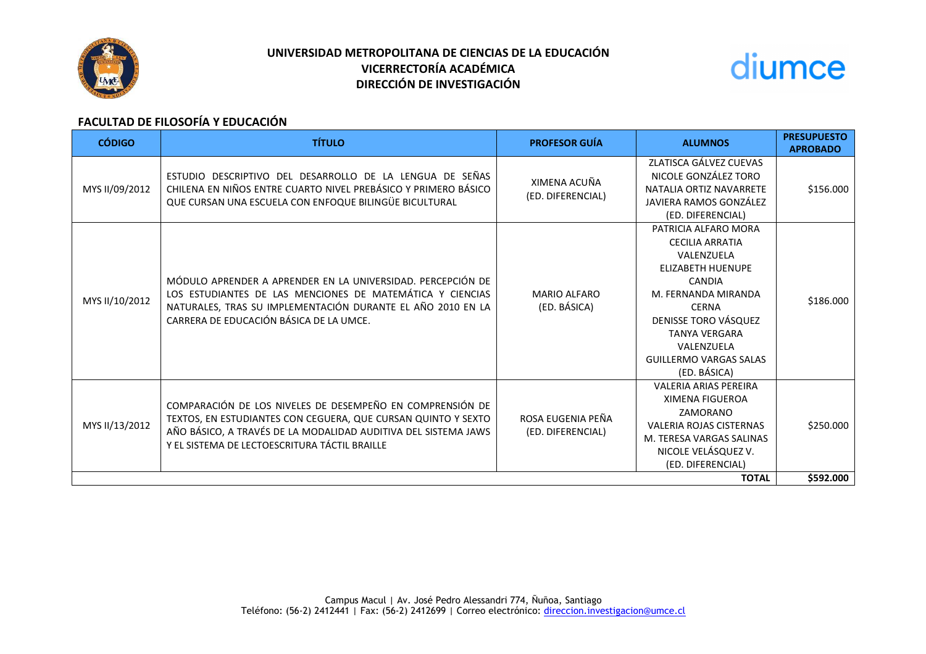

# **UNIVERSIDAD METROPOLITANA DE CIENCIAS DE LA EDUCACIÓN VICERRECTORÍA ACADÉMICA DIRECCIÓN DE INVESTIGACIÓN**



# **FACULTAD DE FILOSOFÍA Y EDUCACIÓN**

| <b>CÓDIGO</b>  | <b>TÍTULO</b>                                                                                                                                                                                                                                 | <b>PROFESOR GUÍA</b>                   | <b>ALUMNOS</b>                                                                                                                                                                                                                                                  | <b>PRESUPUESTO</b><br><b>APROBADO</b> |
|----------------|-----------------------------------------------------------------------------------------------------------------------------------------------------------------------------------------------------------------------------------------------|----------------------------------------|-----------------------------------------------------------------------------------------------------------------------------------------------------------------------------------------------------------------------------------------------------------------|---------------------------------------|
| MYS II/09/2012 | ESTUDIO DESCRIPTIVO DEL DESARROLLO DE LA LENGUA DE SEÑAS<br>CHILENA EN NIÑOS ENTRE CUARTO NIVEL PREBÁSICO Y PRIMERO BÁSICO<br>QUE CURSAN UNA ESCUELA CON ENFOQUE BILINGÜE BICULTURAL                                                          | XIMENA ACUÑA<br>(ED. DIFERENCIAL)      | ZLATISCA GÁLVEZ CUEVAS<br>NICOLE GONZÁLEZ TORO<br>NATALIA ORTIZ NAVARRETE<br>JAVIERA RAMOS GONZÁLEZ<br>(ED. DIFERENCIAL)                                                                                                                                        | \$156.000                             |
| MYS II/10/2012 | MÓDULO APRENDER A APRENDER EN LA UNIVERSIDAD. PERCEPCIÓN DE<br>LOS ESTUDIANTES DE LAS MENCIONES DE MATEMÁTICA Y CIENCIAS<br>NATURALES, TRAS SU IMPLEMENTACIÓN DURANTE EL AÑO 2010 EN LA<br>CARRERA DE EDUCACIÓN BÁSICA DE LA UMCE.            | <b>MARIO ALFARO</b><br>(ED. BÁSICA)    | PATRICIA ALFARO MORA<br><b>CECILIA ARRATIA</b><br>VALENZUELA<br><b>ELIZABETH HUENUPE</b><br><b>CANDIA</b><br>M. FERNANDA MIRANDA<br><b>CERNA</b><br>DENISSE TORO VÁSQUEZ<br><b>TANYA VERGARA</b><br>VALENZUELA<br><b>GUILLERMO VARGAS SALAS</b><br>(ED. BÁSICA) | \$186.000                             |
| MYS II/13/2012 | COMPARACIÓN DE LOS NIVELES DE DESEMPEÑO EN COMPRENSIÓN DE<br>TEXTOS, EN ESTUDIANTES CON CEGUERA, QUE CURSAN QUINTO Y SEXTO<br>AÑO BÁSICO, A TRAVÉS DE LA MODALIDAD AUDITIVA DEL SISTEMA JAWS<br>Y EL SISTEMA DE LECTOESCRITURA TÁCTIL BRAILLE | ROSA EUGENIA PEÑA<br>(ED. DIFERENCIAL) | <b>VALERIA ARIAS PEREIRA</b><br><b>XIMENA FIGUEROA</b><br>ZAMORANO<br><b>VALERIA ROJAS CISTERNAS</b><br>M. TERESA VARGAS SALINAS<br>NICOLE VELÁSQUEZ V.<br>(ED. DIFERENCIAL)                                                                                    | \$250.000                             |
| <b>TOTAL</b>   |                                                                                                                                                                                                                                               |                                        |                                                                                                                                                                                                                                                                 | \$592.000                             |